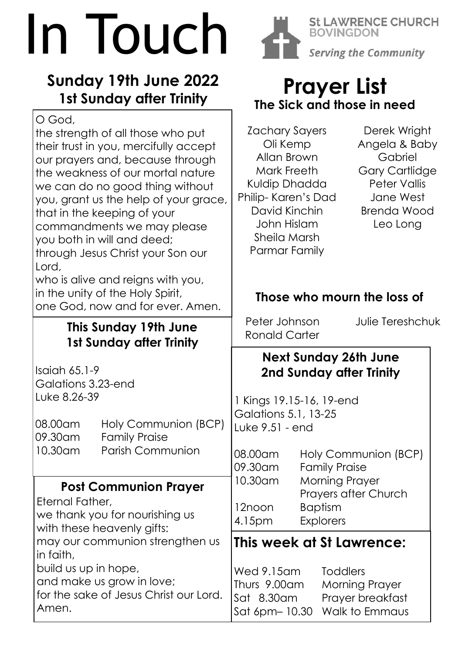# In Touch

## **Sunday 19th June 2022 1st Sunday after Trinity**

O God,

the strength of all those who put their trust in you, mercifully accept our prayers and, because through the weakness of our mortal nature we can do no good thing without you, grant us the help of your grace, that in the keeping of your commandments we may please you both in will and deed; through Jesus Christ your Son our Lord,

who is alive and reigns with you, in the unity of the Holy Spirit, one God, now and for ever. Amen.

## **This Sunday 19th June 1st Sunday after Trinity**

Isaiah 65.1-9 Galations 3.23-end Luke 8.26-39

08.00am Holy Communion (BCP) 09.30am Family Praise 10.30am Parish Communion

## **Post Communion Prayer**

Eternal Father, we thank you for nourishing us with these heavenly gifts:

may our communion strengthen us in faith,

build us up in hope, and make us grow in love; for the sake of Jesus Christ our Lord. Amen.



**St LAWRENCE CHURCH BOVINGDON Serving the Community** 

# **Prayer List The Sick and those in need**

Zachary Sayers Oli Kemp Allan Brown Mark Freeth Kuldip Dhadda Philip- Karen's Dad David Kinchin John Hislam Sheila Marsh Parmar Family

Derek Wright Angela & Baby Gabriel Gary Cartlidge Peter Vallis Jane West Brenda Wood Leo Long

## **Those who mourn the loss of**

Peter Johnson Julie Tereshchuk Ronald Carter

## **Next Sunday 26th June 2nd Sunday after Trinity**

1 Kings 19.15-16, 19-end Galations 5.1, 13-25 Luke 9.51 - end

08.00am Holy Communion (BCP) 09.30am Family Praise 10.30am Morning Prayer Prayers after Church 12noon Baptism 4.15pm Explorers

## **This week at St Lawrence:**

Wed 9.15am Toddlers Thurs 9.00am Morning Prayer Sat 8.30am Prayer breakfast Sat 6pm– 10.30 Walk to Emmaus